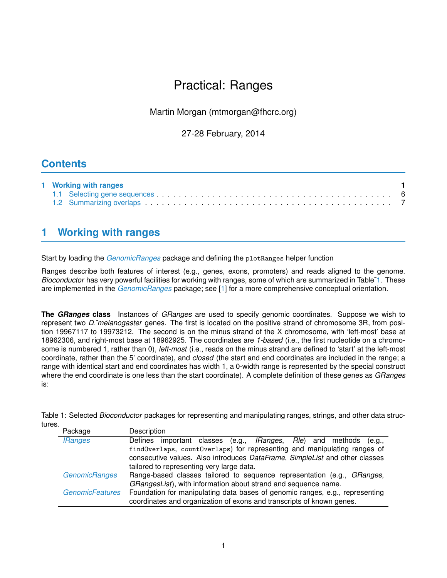# Practical: Ranges

## Martin Morgan (mtmorgan@fhcrc.org)

## 27-28 February, 2014

## **Contents**

| 1 Working with ranges |  |
|-----------------------|--|
|                       |  |
|                       |  |

## <span id="page-0-0"></span>**1 Working with ranges**

Start by loading the *[GenomicRanges](http://bioconductor.org/packages/release/bioc/html/GenomicRanges.html)* package and defining the plotRanges helper function

Ranges describe both features of interest (e.g., genes, exons, promoters) and reads aligned to the genome. *Bioconductor* has very powerful facilities for working with ranges, some of which are summarized in Table[˜1.](#page-0-1) These are implemented in the *[GenomicRanges](http://bioconductor.org/packages/release/bioc/html/GenomicRanges.html)* package; see [\[1\]](#page-7-0) for a more comprehensive conceptual orientation.

**The** *GRanges* **class** Instances of *GRanges* are used to specify genomic coordinates. Suppose we wish to represent two *D.˜melanogaster* genes. The first is located on the positive strand of chromosome 3R, from position 19967117 to 19973212. The second is on the minus strand of the X chromosome, with 'left-most' base at 18962306, and right-most base at 18962925. The coordinates are *1-based* (i.e., the first nucleotide on a chromosome is numbered 1, rather than 0), *left-most* (i.e., reads on the minus strand are defined to 'start' at the left-most coordinate, rather than the 5' coordinate), and *closed* (the start and end coordinates are included in the range; a range with identical start and end coordinates has width 1, a 0-width range is represented by the special construct where the end coordinate is one less than the start coordinate). A complete definition of these genes as *GRanges* is:

| Table 1: Selected Bioconductor packages for representing and manipulating ranges, strings, and other data struc- |  |  |  |
|------------------------------------------------------------------------------------------------------------------|--|--|--|
| tures                                                                                                            |  |  |  |

<span id="page-0-1"></span>

| Package                | Description                                                                          |  |  |  |  |
|------------------------|--------------------------------------------------------------------------------------|--|--|--|--|
| <b>IRanges</b>         | important classes (e.g., <i>IRanges</i> , <i>Rle</i> ) and methods (e.g.,<br>Defines |  |  |  |  |
|                        | findOverlaps, countOverlaps) for representing and manipulating ranges of             |  |  |  |  |
|                        | consecutive values. Also introduces DataFrame, SimpleList and other classes          |  |  |  |  |
|                        | tailored to representing very large data.                                            |  |  |  |  |
| <b>GenomicRanges</b>   | Range-based classes tailored to sequence representation (e.g., GRanges,              |  |  |  |  |
|                        | GRangesList), with information about strand and sequence name.                       |  |  |  |  |
| <b>GenomicFeatures</b> | Foundation for manipulating data bases of genomic ranges, e.g., representing         |  |  |  |  |
|                        | coordinates and organization of exons and transcripts of known genes.                |  |  |  |  |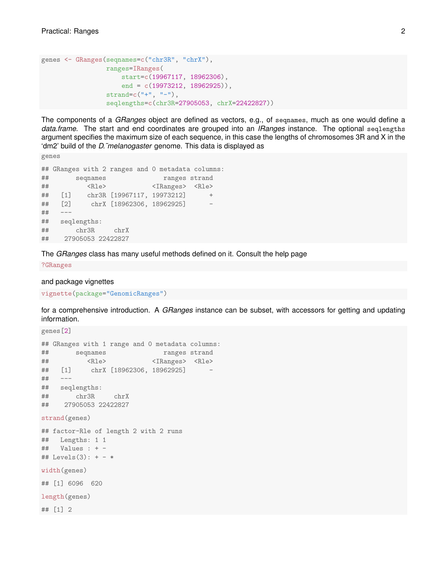```
genes <- GRanges(seqnames=c("chr3R", "chrX"),
                 ranges=IRanges(
                    start=c(19967117, 18962306),
                     end = c(19973212, 18962925)),
                 strand=c("+", "-"),
                 seqlengths=c(chr3R=27905053, chrX=22422827))
```
The components of a *GRanges* object are defined as vectors, e.g., of seqnames, much as one would define a *data.frame*. The start and end coordinates are grouped into an *IRanges* instance. The optional seqlengths argument specifies the maximum size of each sequence, in this case the lengths of chromosomes 3R and X in the 'dm2' build of the *D.˜melanogaster* genome. This data is displayed as

genes

```
## GRanges with 2 ranges and 0 metadata columns:
## seqnames ranges strand
## <Rle> <IRanges> <Rle>
## [1] chr3R [19967117, 19973212] +
## [2] chrX [18962306, 18962925] -
## ---
## seqlengths:
## chr3R chrX
## 27905053 22422827
```
The *GRanges* class has many useful methods defined on it. Consult the help page

?GRanges

and package vignettes

vignette(package="GenomicRanges")

for a comprehensive introduction. A *GRanges* instance can be subset, with accessors for getting and updating information.

```
genes[2]
## GRanges with 1 range and 0 metadata columns:
## seqnames ranges strand
## <Rle> <IRanges> <Rle>
## [1] chrX [18962306, 18962925] -
## ---
## seqlengths:
## chr3R chrX
## 27905053 22422827
strand(genes)
## factor-Rle of length 2 with 2 runs
## Lengths: 1 1
## Values : + -
## Levels(3): + - *
width(genes)
## [1] 6096 620
length(genes)
## [1] 2
```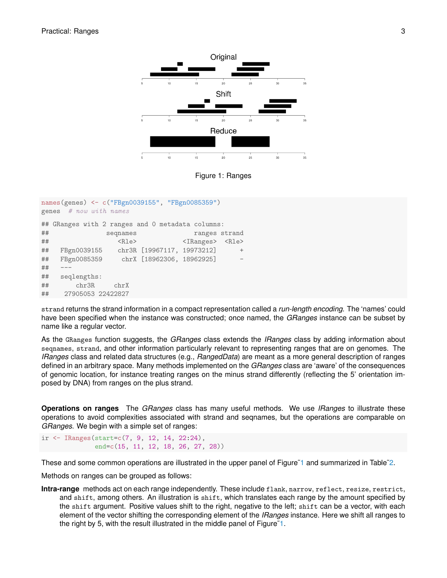

<span id="page-2-0"></span>Figure 1: Ranges

| names(genes) <- c("FBgn0039155", "FBgn0085359") |                                                  |                            |                                 |        |
|-------------------------------------------------|--------------------------------------------------|----------------------------|---------------------------------|--------|
|                                                 | genes # now with names                           |                            |                                 |        |
|                                                 | ## GRanges with 2 ranges and 0 metadata columns: |                            |                                 |        |
| ##                                              | seqnames                                         |                            | ranges strand                   |        |
| ##                                              | CR1e                                             |                            | <iranges> <rle></rle></iranges> |        |
| ##                                              | FBgn0039155                                      | chr3R [19967117, 19973212] |                                 | $^{+}$ |
| ##                                              | FBgn0085359 chrX [18962306, 18962925]            |                            |                                 |        |
| ##                                              |                                                  |                            |                                 |        |
| ##                                              | seqlengths:                                      |                            |                                 |        |
| ##                                              | chr3R<br>chrX                                    |                            |                                 |        |
| ##                                              | 27905053 22422827                                |                            |                                 |        |

strand returns the strand information in a compact representation called a *run-length encoding*. The 'names' could have been specified when the instance was constructed; once named, the *GRanges* instance can be subset by name like a regular vector.

As the GRanges function suggests, the *GRanges* class extends the *IRanges* class by adding information about seqnames, strand, and other information particularly relevant to representing ranges that are on genomes. The *IRanges* class and related data structures (e.g., *RangedData*) are meant as a more general description of ranges defined in an arbitrary space. Many methods implemented on the *GRanges* class are 'aware' of the consequences of genomic location, for instance treating ranges on the minus strand differently (reflecting the 5' orientation imposed by DNA) from ranges on the plus strand.

**Operations on ranges** The *GRanges* class has many useful methods. We use *IRanges* to illustrate these operations to avoid complexities associated with strand and seqnames, but the operations are comparable on *GRanges*. We begin with a simple set of ranges:

ir <- IRanges(start=c(7, 9, 12, 14, 22:24), end=c(15, 11, 12, 18, 26, 27, 28))

These and some common operations are illustrated in the upper panel of Figure<sup> $1$ </sup> and summarized in Table<sup> $2$ </sup>.

Methods on ranges can be grouped as follows:

**Intra-range** methods act on each range independently. These include flank, narrow, reflect, resize, restrict, and shift, among others. An illustration is shift, which translates each range by the amount specified by the shift argument. Positive values shift to the right, negative to the left; shift can be a vector, with each element of the vector shifting the corresponding element of the *IRanges* instance. Here we shift all ranges to the right by 5, with the result illustrated in the middle panel of Figure[˜1.](#page-2-0)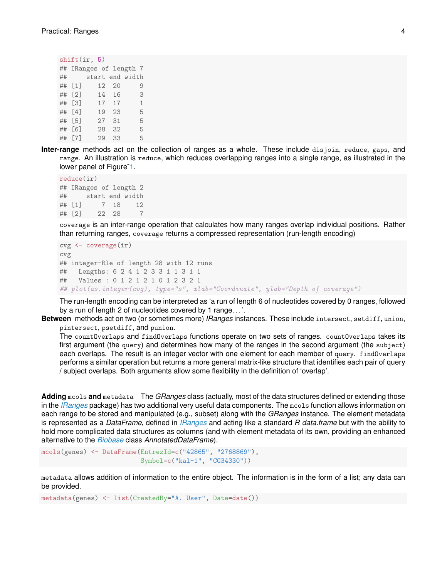| shift(ir, 5) |                      |  |     |       |                        |              |
|--------------|----------------------|--|-----|-------|------------------------|--------------|
|              |                      |  |     |       | ## IRanges of length 7 |              |
| ##           |                      |  |     |       | start end width        |              |
|              | ## $\lceil 1 \rceil$ |  |     | 12 20 |                        | 9            |
|              | ## [2]               |  |     | 14 16 |                        | 3            |
|              | ## [3]               |  | 17  | 17    |                        | $\mathbf{1}$ |
|              | ## [4]               |  | 19  | 23    |                        | 5            |
|              | ## [5]               |  | 27  | 31    |                        | 5            |
|              | ## [6]               |  | 28  | 32    |                        | 5            |
|              | ## [7]               |  | 2.9 | 33    |                        | 5            |

**Inter-range** methods act on the collection of ranges as a whole. These include disjoin, reduce, gaps, and range. An illustration is reduce, which reduces overlapping ranges into a single range, as illustrated in the lower panel of Figure[˜1.](#page-2-0)

```
reduce(ir)
## IRanges of length 2
## start end width
## [1] 7 18 12
## [2] 22 28 7
```
coverage is an inter-range operation that calculates how many ranges overlap individual positions. Rather than returning ranges, coverage returns a compressed representation (run-length encoding)

```
cvg <- coverage(ir)
cvg
## integer-Rle of length 28 with 12 runs
## Lengths: 6 2 4 1 2 3 3 1 1 3 1 1
## Values : 0 1 2 1 2 1 0 1 2 3 2 1
## plot(as.integer(cvg), type="s", xlab="Coordinate", ylab="Depth of coverage")
```
The run-length encoding can be interpreted as 'a run of length 6 of nucleotides covered by 0 ranges, followed by a run of length 2 of nucleotides covered by 1 range. . . '.

**Between** methods act on two (or sometimes more) *IRanges* instances. These include intersect, setdiff, union, pintersect, psetdiff, and punion.

The countOverlaps and findOverlaps functions operate on two sets of ranges. countOverlaps takes its first argument (the query) and determines how many of the ranges in the second argument (the subject) each overlaps. The result is an integer vector with one element for each member of query. findOverlaps performs a similar operation but returns a more general matrix-like structure that identifies each pair of query / subject overlaps. Both arguments allow some flexibility in the definition of 'overlap'.

**Adding** mcols **and** metadata The *GRanges* class (actually, most of the data structures defined or extending those in the *[IRanges](http://bioconductor.org/packages/release/bioc/html/IRanges.html)* package) has two additional very useful data components. The mcols function allows information on each range to be stored and manipulated (e.g., subset) along with the *GRanges* instance. The element metadata is represented as a *DataFrame*, defined in *[IRanges](http://bioconductor.org/packages/release/bioc/html/IRanges.html)* and acting like a standard *R data.frame* but with the ability to hold more complicated data structures as columns (and with element metadata of its own, providing an enhanced alternative to the *[Biobase](http://bioconductor.org/packages/release/bioc/html/Biobase.html)* class *AnnotatedDataFrame*).

```
mcols(genes) <- DataFrame(EntrezId=c("42865", "2768869"),
                          Symbol=c("kal-1", "CG34330"))
```
metadata allows addition of information to the entire object. The information is in the form of a list; any data can be provided.

metadata(genes) <- list(CreatedBy="A. User", Date=date())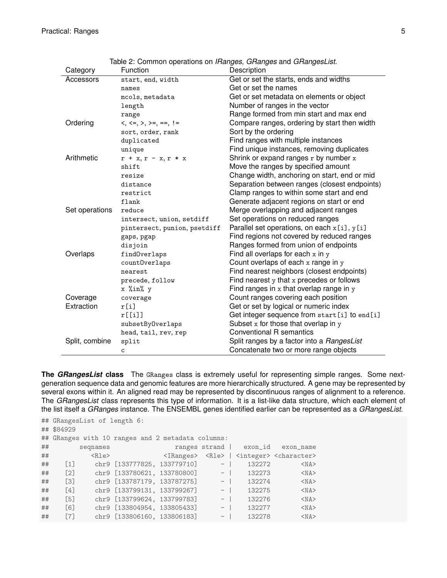| Category       | Function                                 | Description                                    |
|----------------|------------------------------------------|------------------------------------------------|
| Accessors      | start, end, width                        | Get or set the starts, ends and widths         |
|                | names                                    | Get or set the names                           |
|                | mcols, metadata                          | Get or set metadata on elements or object      |
|                | length                                   | Number of ranges in the vector                 |
|                | range                                    | Range formed from min start and max end        |
| Ordering       | $\lt$ , $\lt$ =, $\gt$ , $\gt$ =, ==, != | Compare ranges, ordering by start then width   |
|                | sort, order, rank                        | Sort by the ordering                           |
|                | duplicated                               | Find ranges with multiple instances            |
|                | unique                                   | Find unique instances, removing duplicates     |
| Arithmetic     | $r + x, r - x, r * x$                    | Shrink or expand ranges r by number x          |
|                | shift                                    | Move the ranges by specified amount            |
|                | resize                                   | Change width, anchoring on start, end or mid   |
|                | distance                                 | Separation between ranges (closest endpoints)  |
|                | restrict                                 | Clamp ranges to within some start and end      |
|                | flank                                    | Generate adjacent regions on start or end      |
| Set operations | reduce                                   | Merge overlapping and adjacent ranges          |
|                | intersect, union, setdiff                | Set operations on reduced ranges               |
|                | pintersect, punion, psetdiff             | Parallel set operations, on each x[i], y[i]    |
|                | gaps, pgap                               | Find regions not covered by reduced ranges     |
|                | disjoin                                  | Ranges formed from union of endpoints          |
| Overlaps       | findOverlaps                             | Find all overlaps for each $x$ in $y$          |
|                | countOverlaps                            | Count overlaps of each $x$ range in $y$        |
|                | nearest                                  | Find nearest neighbors (closest endpoints)     |
|                | precede, follow                          | Find nearest $y$ that $x$ precedes or follows  |
|                | x %in% y                                 | Find ranges in $x$ that overlap range in $y$   |
| Coverage       | coverage                                 | Count ranges covering each position            |
| Extraction     | r[i]                                     | Get or set by logical or numeric index         |
|                | r[[i]]                                   | Get integer sequence from start [i] to end [i] |
|                | subsetByOverlaps                         | Subset $x$ for those that overlap in $y$       |
|                | head, tail, rev, rep                     | Conventional R semantics                       |
| Split, combine | split                                    | Split ranges by a factor into a RangesList     |
|                | C                                        | Concatenate two or more range objects          |

<span id="page-4-0"></span>Table 2: Common operations on *IRanges*, *GRanges* and *GRangesList*.

**The** *GRangesList* **class** The GRanges class is extremely useful for representing simple ranges. Some nextgeneration sequence data and genomic features are more hierarchically structured. A gene may be represented by several exons within it. An aligned read may be represented by discontinuous ranges of alignment to a reference. The *GRangesList* class represents this type of information. It is a list-like data structure, which each element of the list itself a *GRanges* instance. The ENSEMBL genes identified earlier can be represented as a *GRangesList*.

|                   | $<$ Rle $>$ |          |                             |                                                                                                                          |                                                                                                                 |                                                                                                                                                                                                                                                                               |
|-------------------|-------------|----------|-----------------------------|--------------------------------------------------------------------------------------------------------------------------|-----------------------------------------------------------------------------------------------------------------|-------------------------------------------------------------------------------------------------------------------------------------------------------------------------------------------------------------------------------------------------------------------------------|
| $\lceil 1 \rceil$ |             |          |                             |                                                                                                                          | 132272                                                                                                          | $<$ NA $>$                                                                                                                                                                                                                                                                    |
| $\lceil 2 \rceil$ |             |          |                             |                                                                                                                          | 132273                                                                                                          | $<$ NA>                                                                                                                                                                                                                                                                       |
| $\lceil 3 \rceil$ |             |          |                             |                                                                                                                          | 132274                                                                                                          | $<$ NA $>$                                                                                                                                                                                                                                                                    |
| $\lceil 4 \rceil$ |             |          |                             |                                                                                                                          | 132275                                                                                                          | $<$ NA>                                                                                                                                                                                                                                                                       |
| $\lceil 5 \rceil$ |             |          |                             |                                                                                                                          | 132276                                                                                                          | $<$ NA $>$                                                                                                                                                                                                                                                                    |
| $\lceil 6 \rceil$ |             |          |                             |                                                                                                                          | 132277                                                                                                          | $<$ NA $>$                                                                                                                                                                                                                                                                    |
| $\lceil 7 \rceil$ |             |          |                             | $-$ 1                                                                                                                    | 132278                                                                                                          | $<$ NA>                                                                                                                                                                                                                                                                       |
|                   | ## \$84929  | seqnames | ## GRangesList of length 6: | chr9 [133799131, 133799267]<br>chr9 [133799624, 133799783]<br>chr9 [133804954, 133805433]<br>chr9 [133806160, 133806183] | ## GRanges with 10 ranges and 2 metadata columns:<br>chr9 [133777825, 133779710]<br>chr9 [133787179, 133787275] | ranges strand   exon_id exon_name<br><iranges> <rle>   <integer> <character><br/><math>-</math>  <br/>chr9 <math>[133780621, 133780800]</math> -<br/><math> \vert</math><br/><math>-</math>  <br/><math>-</math>  <br/><math>-</math>  </character></integer></rle></iranges> |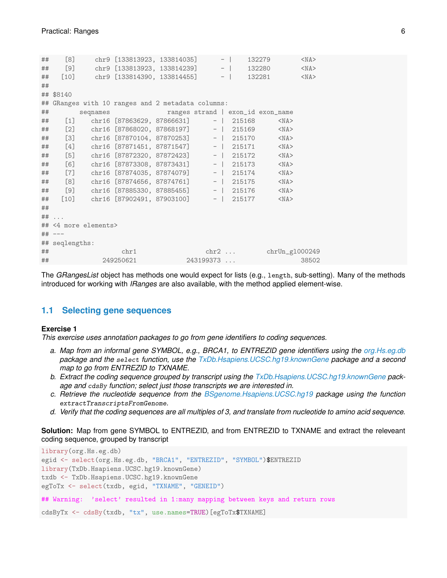| ## | [8]             |                      | chr9 [133813923, 133814035]                       |  | 132279                   | $<$ NA $>$ |
|----|-----------------|----------------------|---------------------------------------------------|--|--------------------------|------------|
| ## |                 |                      | [9] chr9 [133813923, 133814239] -                 |  | 132280                   | $<$ NA $>$ |
| ## |                 |                      | $[10]$ chr9 $[133814390, 133814455]$ -            |  | 132281                   | $<$ NA $>$ |
| ## |                 |                      |                                                   |  |                          |            |
|    | ## \$8140       |                      |                                                   |  |                          |            |
|    |                 |                      | ## GRanges with 10 ranges and 2 metadata columns: |  |                          |            |
|    | $\#$ #          |                      | seqnames ranges strand   exon_id exon_name        |  |                          |            |
|    |                 |                      | ## [1] chr16 [87863629, 87866631] -   215168      |  | $<$ NA $>$               |            |
|    |                 |                      | ## [2] chr16 [87868020, 87868197] -   215169      |  | $<$ NA $>$               |            |
| ## |                 |                      | [3] chr16 [87870104, 87870253] -   215170         |  | $<$ NA $>$               |            |
| ## |                 |                      | [4] chr16 [87871451, 87871547] -   215171         |  | $<$ NA $>$               |            |
| ## |                 |                      | [5] chr16 [87872320, 87872423] -   215172         |  | $<$ NA $>$               |            |
| ## |                 |                      | [6] chr16 [87873308, 87873431] -   215173         |  | $<$ NA $>$               |            |
| ## |                 |                      | [7] chr16 [87874035, 87874079] -   215174         |  | $<$ NA $>$               |            |
| ## |                 |                      | [8] chr16 [87874656, 87874761] -   215175         |  | $<$ NA $>$               |            |
| ## |                 |                      | [9] chr16 [87885330, 87885455] -   215176         |  | $<$ NA $>$               |            |
| ## |                 |                      | $[10]$ chr16 $[87902491, 87903100]$ -   215177    |  | $<$ NA $>$               |            |
| ## |                 |                      |                                                   |  |                          |            |
|    | $\#$ # $\ldots$ |                      |                                                   |  |                          |            |
|    |                 | ## <4 more elements> |                                                   |  |                          |            |
|    | ## ---          |                      |                                                   |  |                          |            |
|    | ## seqlengths:  |                      |                                                   |  |                          |            |
| ## |                 |                      | chr1                                              |  | $chr2 $ $chrUn_g1000249$ |            |
| ## |                 |                      | 249250621                                         |  | 243199373                | 38502      |

The *GRangesList* object has methods one would expect for lists (e.g., length, sub-setting). Many of the methods introduced for working with *IRanges* are also available, with the method applied element-wise.

#### <span id="page-5-0"></span>**1.1 Selecting gene sequences**

#### **Exercise 1**

*This exercise uses annotation packages to go from gene identifiers to coding sequences.*

- *a. Map from an informal gene SYMBOL, e.g., BRCA1, to ENTREZID gene identifiers using the [org.Hs.eg.db](http://bioconductor.org/packages/release/data/annotation/html/org.Hs.eg.db.html) package and the* select *function, use the [TxDb.Hsapiens.UCSC.hg19.knownGene](http://bioconductor.org/packages/release/data/annotation/html/TxDb.Hsapiens.UCSC.hg19.knownGene.html) package and a second map to go from ENTREZID to TXNAME.*
- *b. Extract the coding sequence grouped by transcript using the [TxDb.Hsapiens.UCSC.hg19.knownGene](http://bioconductor.org/packages/release/data/annotation/html/TxDb.Hsapiens.UCSC.hg19.knownGene.html) package and* cdsBy *function; select just those transcripts we are interested in.*
- *c. Retrieve the nucleotide sequence from the [BSgenome.Hsapiens.UCSC.hg19](http://bioconductor.org/packages/release/data/annotation/html/BSgenome.Hsapiens.UCSC.hg19.html) package using the function* extractTranscriptsFromGenome*.*
- *d. Verify that the coding sequences are all multiples of 3, and translate from nucleotide to amino acid sequence.*

#### **Solution:** Map from gene SYMBOL to ENTREZID, and from ENTREZID to TXNAME and extract the releveant coding sequence, grouped by transcript

```
library(org.Hs.eg.db)
egid <- select(org.Hs.eg.db, "BRCA1", "ENTREZID", "SYMBOL")$ENTREZID
library(TxDb.Hsapiens.UCSC.hg19.knownGene)
txdb <- TxDb.Hsapiens.UCSC.hg19.knownGene
egToTx <- select(txdb, egid, "TXNAME", "GENEID")
## Warning: 'select' resulted in 1:many mapping between keys and return rows
cdsByTx <- cdsBy(txdb, "tx", use.names=TRUE)[egToTx$TXNAME]
```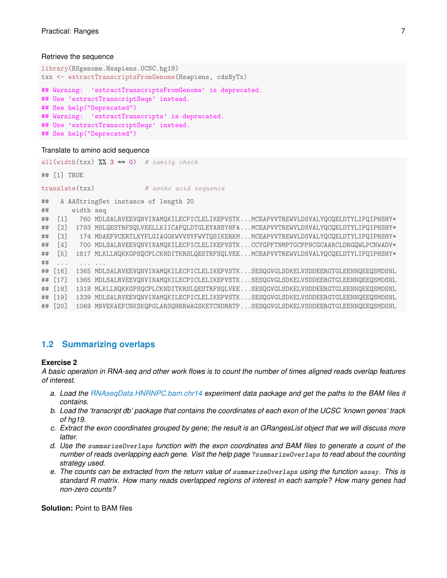#### Retrieve the sequence

```
library(BSgenome.Hsapiens.UCSC.hg19)
txx <- extractTranscriptsFromGenome(Hsapiens, cdsByTx)
## Warning: 'extractTranscriptsFromGenome' is deprecated.
## Use 'extractTranscriptSeqs' instead.
## See help("Deprecated")
## Warning: 'extractTranscripts' is deprecated.
## Use 'extractTranscriptSeqs' instead.
## See help("Deprecated")
```
#### Translate to amino acid sequence

|    |                                         |           | all(width(txx) $\frac{1}{2}$ 3 == 0) # sanity check                               |  |  |  |  |
|----|-----------------------------------------|-----------|-----------------------------------------------------------------------------------|--|--|--|--|
|    | $\#$ # $\lceil 1 \rceil$ TRUE           |           |                                                                                   |  |  |  |  |
|    | translate(txx)<br># amino acid sequence |           |                                                                                   |  |  |  |  |
| ## |                                         |           | A AAStringSet instance of length 20                                               |  |  |  |  |
| ## |                                         | width seq |                                                                                   |  |  |  |  |
| ## | $\lceil 1 \rceil$                       |           | 760 MDLSALRVEEVQNVINAMQKILECPICLELIKEPVSTKMCEAPVVTREWVLDSVALYQCQELDTYLIPQIPHSHY*  |  |  |  |  |
| ## | $\lceil 2 \rceil$                       |           | 1793 MSLQESTRFSQLVEELLKIICAFQLDTGLEYANSYNFAMCEAPVVTREWVLDSVALYQCQELDTYLIPQIPHSHY* |  |  |  |  |
| ## | $\lceil 3 \rceil$                       |           | 174 MDAEFVCERTLKYFLGIAGGKWVVSYFWVTQSIKERKMMCEAPVVTREWVLDSVALYQCQELDTYLIPQIPHSHY*  |  |  |  |  |
| ## | $\lceil 4 \rceil$                       |           | 700 MDLSALRVEEVQNVINAMQKILECPICLELIKEPVSTKCCYGPFTNMPTGCPPNCGCAARCLDRGQWLPCNWADV*  |  |  |  |  |
| ## | $\lceil 5 \rceil$                       |           | 1817 MLKLLNQKKGPSQCPLCKNDITKRSLQESTRFSQLVEEMCEAPVVTREWVLDSVALYQCQELDTYLIPQIPHSHY* |  |  |  |  |
| ## | $\cdots$                                |           |                                                                                   |  |  |  |  |
| ## | $\lceil 16 \rceil$                      |           | 1365 MDLSALRVEEVQNVINAMQKILECPICLELIKEPVSTKSESQGVGLSDKELVSDDEERGTGLEENNQEEQSMDSNL |  |  |  |  |
|    | ## [17]                                 |           | 1365 MDLSALRVEEVQNVINAMQKILECPICLELIKEPVSTKSESQGVGLSDKELVSDDEERGTGLEENNQEEQSMDSNL |  |  |  |  |
|    | ## [18]                                 | 1318      | MLKLLNQKKGPSQCPLCKNDITKRSLQESTRFSQLVEESESQGVGLSDKELVSDDEERGTGLEENNQEEQSMDSNL      |  |  |  |  |
|    | ## [19]                                 |           | 1339 MDLSALRVEEVQNVINAMQKILECPICLELIKEPVSTKSESQGVGLSDKELVSDDEERGTGLEENNQEEQSMDSNL |  |  |  |  |
| ## | $\lceil 20 \rceil$                      |           | 1069 MNVEKAEFCNKSKQPGLARSQHNRWAGSKETCNDRRTPSESQGVGLSDKELVSDDEERGTGLEENNQEEQSMDSNL |  |  |  |  |
|    |                                         |           |                                                                                   |  |  |  |  |

### <span id="page-6-0"></span>**1.2 Summarizing overlaps**

#### **Exercise 2**

*A basic operation in RNA-seq and other work flows is to count the number of times aligned reads overlap features of interest.*

- *a. Load the [RNAseqData.HNRNPC.bam.chr14](http://bioconductor.org/packages/release/data/experiment/html/RNAseqData.HNRNPC.bam.chr14.html) experiment data package and get the paths to the BAM files it contains.*
- *b. Load the 'transcript db' package that contains the coordinates of each exon of the UCSC 'known genes' track of hg19.*
- *c. Extract the exon coordinates grouped by gene; the result is an GRangesList object that we will discuss more latter.*
- *d. Use the* summarizeOverlaps *function with the exon coordinates and BAM files to generate a count of the number of reads overlapping each gene. Visit the help page* ?summarizeOverlaps *to read about the counting strategy used.*
- *e. The counts can be extracted from the return value of* summarizeOverlaps *using the function* assay*. This is standard R matrix. How many reads overlapped regions of interest in each sample? How many genes had non-zero counts?*

**Solution:** Point to BAM files